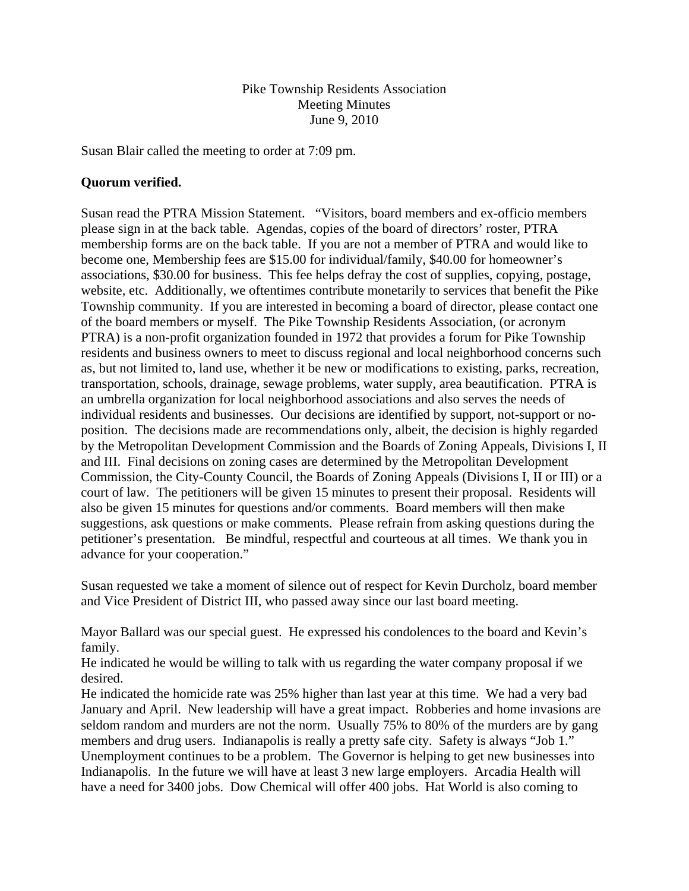Pike Township Residents Association Meeting Minutes June 9, 2010

Susan Blair called the meeting to order at 7:09 pm.

## **Quorum verified.**

Susan read the PTRA Mission Statement. "Visitors, board members and ex-officio members please sign in at the back table. Agendas, copies of the board of directors' roster, PTRA membership forms are on the back table. If you are not a member of PTRA and would like to become one, Membership fees are \$15.00 for individual/family, \$40.00 for homeowner's associations, \$30.00 for business. This fee helps defray the cost of supplies, copying, postage, website, etc. Additionally, we oftentimes contribute monetarily to services that benefit the Pike Township community. If you are interested in becoming a board of director, please contact one of the board members or myself. The Pike Township Residents Association, (or acronym PTRA) is a non-profit organization founded in 1972 that provides a forum for Pike Township residents and business owners to meet to discuss regional and local neighborhood concerns such as, but not limited to, land use, whether it be new or modifications to existing, parks, recreation, transportation, schools, drainage, sewage problems, water supply, area beautification. PTRA is an umbrella organization for local neighborhood associations and also serves the needs of individual residents and businesses. Our decisions are identified by support, not-support or noposition. The decisions made are recommendations only, albeit, the decision is highly regarded by the Metropolitan Development Commission and the Boards of Zoning Appeals, Divisions I, II and III. Final decisions on zoning cases are determined by the Metropolitan Development Commission, the City-County Council, the Boards of Zoning Appeals (Divisions I, II or III) or a court of law. The petitioners will be given 15 minutes to present their proposal. Residents will also be given 15 minutes for questions and/or comments. Board members will then make suggestions, ask questions or make comments. Please refrain from asking questions during the petitioner's presentation. Be mindful, respectful and courteous at all times. We thank you in advance for your cooperation."

Susan requested we take a moment of silence out of respect for Kevin Durcholz, board member and Vice President of District III, who passed away since our last board meeting.

Mayor Ballard was our special guest. He expressed his condolences to the board and Kevin's family.

He indicated he would be willing to talk with us regarding the water company proposal if we desired.

He indicated the homicide rate was 25% higher than last year at this time. We had a very bad January and April. New leadership will have a great impact. Robberies and home invasions are seldom random and murders are not the norm. Usually 75% to 80% of the murders are by gang members and drug users. Indianapolis is really a pretty safe city. Safety is always "Job 1." Unemployment continues to be a problem. The Governor is helping to get new businesses into Indianapolis. In the future we will have at least 3 new large employers. Arcadia Health will have a need for 3400 jobs. Dow Chemical will offer 400 jobs. Hat World is also coming to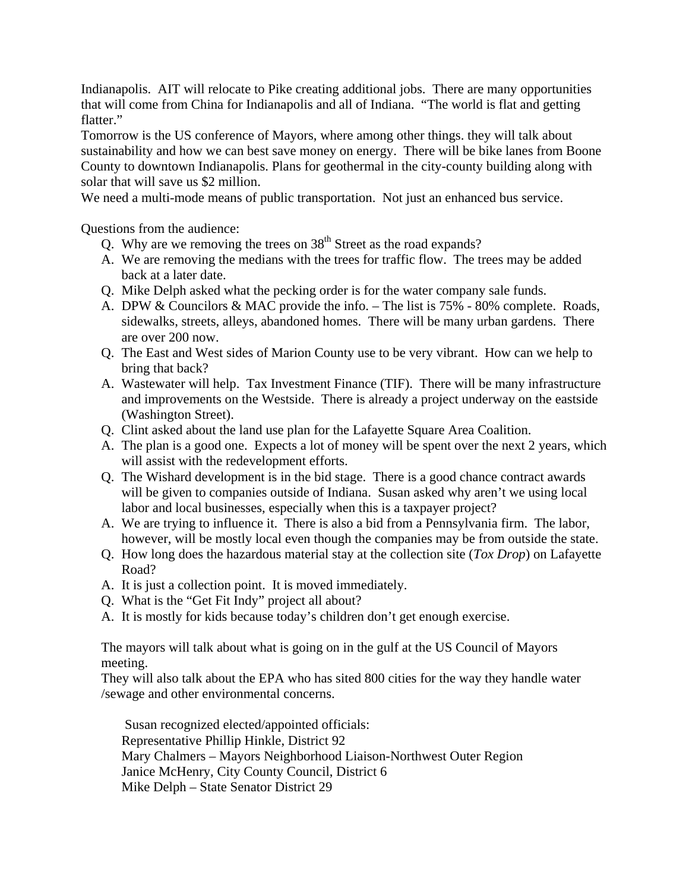Indianapolis. AIT will relocate to Pike creating additional jobs. There are many opportunities that will come from China for Indianapolis and all of Indiana. "The world is flat and getting flatter."

Tomorrow is the US conference of Mayors, where among other things. they will talk about sustainability and how we can best save money on energy. There will be bike lanes from Boone County to downtown Indianapolis. Plans for geothermal in the city-county building along with solar that will save us \$2 million.

We need a multi-mode means of public transportation. Not just an enhanced bus service.

Questions from the audience:

- Q. Why are we removing the trees on  $38<sup>th</sup>$  Street as the road expands?
- A. We are removing the medians with the trees for traffic flow. The trees may be added back at a later date.
- Q. Mike Delph asked what the pecking order is for the water company sale funds.
- A. DPW & Councilors & MAC provide the info. The list is 75% 80% complete. Roads, sidewalks, streets, alleys, abandoned homes. There will be many urban gardens. There are over 200 now.
- Q. The East and West sides of Marion County use to be very vibrant. How can we help to bring that back?
- A. Wastewater will help. Tax Investment Finance (TIF). There will be many infrastructure and improvements on the Westside. There is already a project underway on the eastside (Washington Street).
- Q. Clint asked about the land use plan for the Lafayette Square Area Coalition.
- A. The plan is a good one. Expects a lot of money will be spent over the next 2 years, which will assist with the redevelopment efforts.
- Q. The Wishard development is in the bid stage. There is a good chance contract awards will be given to companies outside of Indiana. Susan asked why aren't we using local labor and local businesses, especially when this is a taxpayer project?
- A. We are trying to influence it. There is also a bid from a Pennsylvania firm. The labor, however, will be mostly local even though the companies may be from outside the state.
- Q. How long does the hazardous material stay at the collection site (*Tox Drop*) on Lafayette Road?
- A. It is just a collection point. It is moved immediately.
- Q. What is the "Get Fit Indy" project all about?
- A. It is mostly for kids because today's children don't get enough exercise.

The mayors will talk about what is going on in the gulf at the US Council of Mayors meeting.

They will also talk about the EPA who has sited 800 cities for the way they handle water /sewage and other environmental concerns.

Susan recognized elected/appointed officials: Representative Phillip Hinkle, District 92 Mary Chalmers – Mayors Neighborhood Liaison-Northwest Outer Region Janice McHenry, City County Council, District 6 Mike Delph – State Senator District 29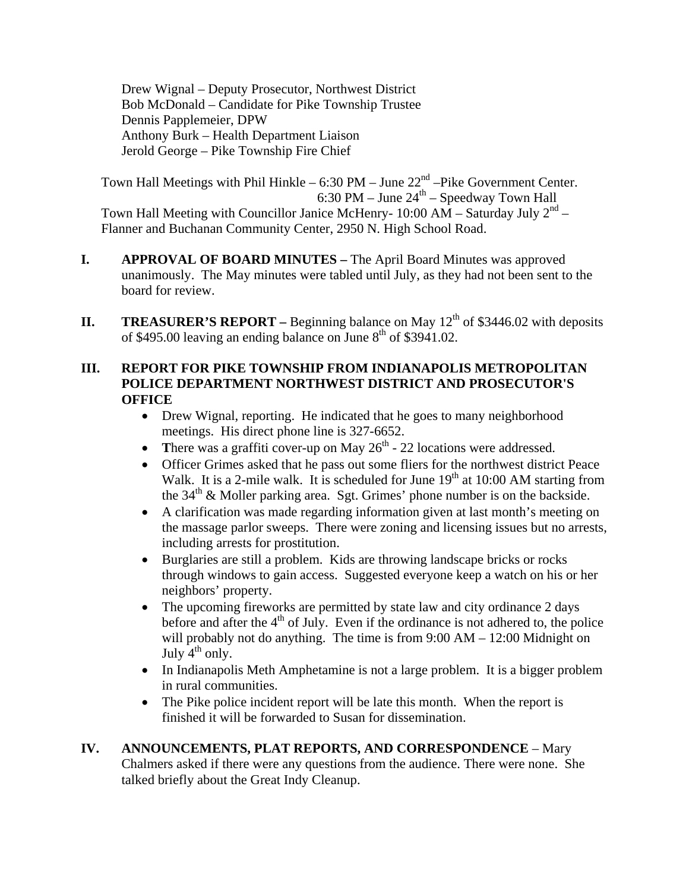Drew Wignal – Deputy Prosecutor, Northwest District Bob McDonald – Candidate for Pike Township Trustee Dennis Papplemeier, DPW Anthony Burk – Health Department Liaison Jerold George – Pike Township Fire Chief

Town Hall Meetings with Phil Hinkle – 6:30 PM – June  $22<sup>nd</sup>$  –Pike Government Center. 6:30 PM – June  $24<sup>th</sup>$  – Speedway Town Hall Town Hall Meeting with Councillor Janice McHenry- 10:00 AM – Saturday July  $2<sup>nd</sup>$  – Flanner and Buchanan Community Center, 2950 N. High School Road.

- **I. APPROVAL OF BOARD MINUTES** The April Board Minutes was approved unanimously. The May minutes were tabled until July, as they had not been sent to the board for review.
- **II.** TREASURER'S REPORT Beginning balance on May  $12<sup>th</sup>$  of \$3446.02 with deposits of \$495.00 leaving an ending balance on June  $8<sup>th</sup>$  of \$3941.02.

# **III. REPORT FOR PIKE TOWNSHIP FROM INDIANAPOLIS METROPOLITAN POLICE DEPARTMENT NORTHWEST DISTRICT AND PROSECUTOR'S OFFICE**

- Drew Wignal, reporting. He indicated that he goes to many neighborhood meetings. His direct phone line is 327-6652.
- There was a graffiti cover-up on May  $26<sup>th</sup>$  22 locations were addressed.
- Officer Grimes asked that he pass out some fliers for the northwest district Peace Walk. It is a 2-mile walk. It is scheduled for June  $19<sup>th</sup>$  at 10:00 AM starting from the  $34<sup>th</sup>$  & Moller parking area. Sgt. Grimes' phone number is on the backside.
- A clarification was made regarding information given at last month's meeting on the massage parlor sweeps. There were zoning and licensing issues but no arrests, including arrests for prostitution.
- Burglaries are still a problem. Kids are throwing landscape bricks or rocks through windows to gain access. Suggested everyone keep a watch on his or her neighbors' property.
- The upcoming fireworks are permitted by state law and city ordinance 2 days before and after the  $4<sup>th</sup>$  of July. Even if the ordinance is not adhered to, the police will probably not do anything. The time is from  $9:00 \text{ AM} - 12:00 \text{ Midnight on}$ July  $4^{th}$  only.
- In Indianapolis Meth Amphetamine is not a large problem. It is a bigger problem in rural communities.
- The Pike police incident report will be late this month. When the report is finished it will be forwarded to Susan for dissemination.

## **IV. ANNOUNCEMENTS, PLAT REPORTS, AND CORRESPONDENCE** – Mary Chalmers asked if there were any questions from the audience. There were none. She talked briefly about the Great Indy Cleanup.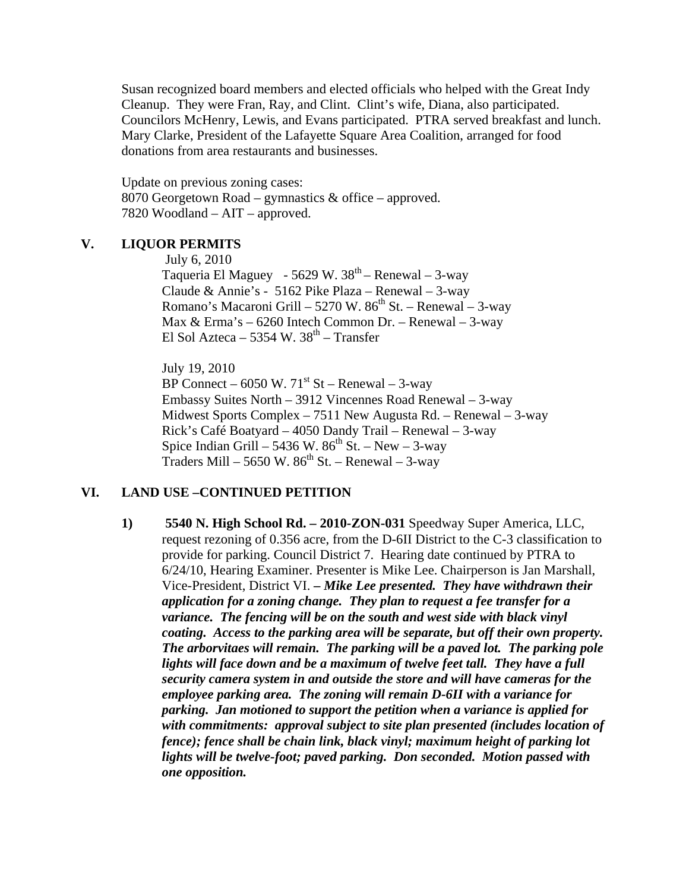Susan recognized board members and elected officials who helped with the Great Indy Cleanup. They were Fran, Ray, and Clint. Clint's wife, Diana, also participated. Councilors McHenry, Lewis, and Evans participated. PTRA served breakfast and lunch. Mary Clarke, President of the Lafayette Square Area Coalition, arranged for food donations from area restaurants and businesses.

Update on previous zoning cases: 8070 Georgetown Road – gymnastics & office – approved. 7820 Woodland – AIT – approved.

## **V. LIQUOR PERMITS**

July 6, 2010 Taqueria El Maguey - 5629 W.  $38<sup>th</sup>$  – Renewal – 3-way Claude & Annie's - 5162 Pike Plaza – Renewal – 3-way Romano's Macaroni Grill – 5270 W.  $86<sup>th</sup>$  St. – Renewal – 3-way Max & Erma's – 6260 Intech Common Dr. – Renewal – 3-way El Sol Azteca – 5354 W.  $38<sup>th</sup>$  – Transfer

 July 19, 2010 BP Connect – 6050 W.  $71^{st}$  St – Renewal – 3-way Embassy Suites North – 3912 Vincennes Road Renewal – 3-way Midwest Sports Complex – 7511 New Augusta Rd. – Renewal – 3-way Rick's Café Boatyard – 4050 Dandy Trail – Renewal – 3-way Spice Indian Grill – 5436 W.  $86<sup>th</sup>$  St. – New – 3-way Traders Mill – 5650 W.  $86^{th}$  St. – Renewal – 3-way

### **VI. LAND USE –CONTINUED PETITION**

**1) 5540 N. High School Rd. – 2010-ZON-031** Speedway Super America, LLC, request rezoning of 0.356 acre, from the D-6II District to the C-3 classification to provide for parking. Council District 7. Hearing date continued by PTRA to 6/24/10, Hearing Examiner. Presenter is Mike Lee. Chairperson is Jan Marshall, Vice-President, District VI. *– Mike Lee presented. They have withdrawn their application for a zoning change. They plan to request a fee transfer for a variance. The fencing will be on the south and west side with black vinyl coating. Access to the parking area will be separate, but off their own property. The arborvitaes will remain. The parking will be a paved lot. The parking pole lights will face down and be a maximum of twelve feet tall. They have a full security camera system in and outside the store and will have cameras for the employee parking area. The zoning will remain D-6II with a variance for parking. Jan motioned to support the petition when a variance is applied for with commitments: approval subject to site plan presented (includes location of fence); fence shall be chain link, black vinyl; maximum height of parking lot lights will be twelve-foot; paved parking. Don seconded. Motion passed with one opposition.*